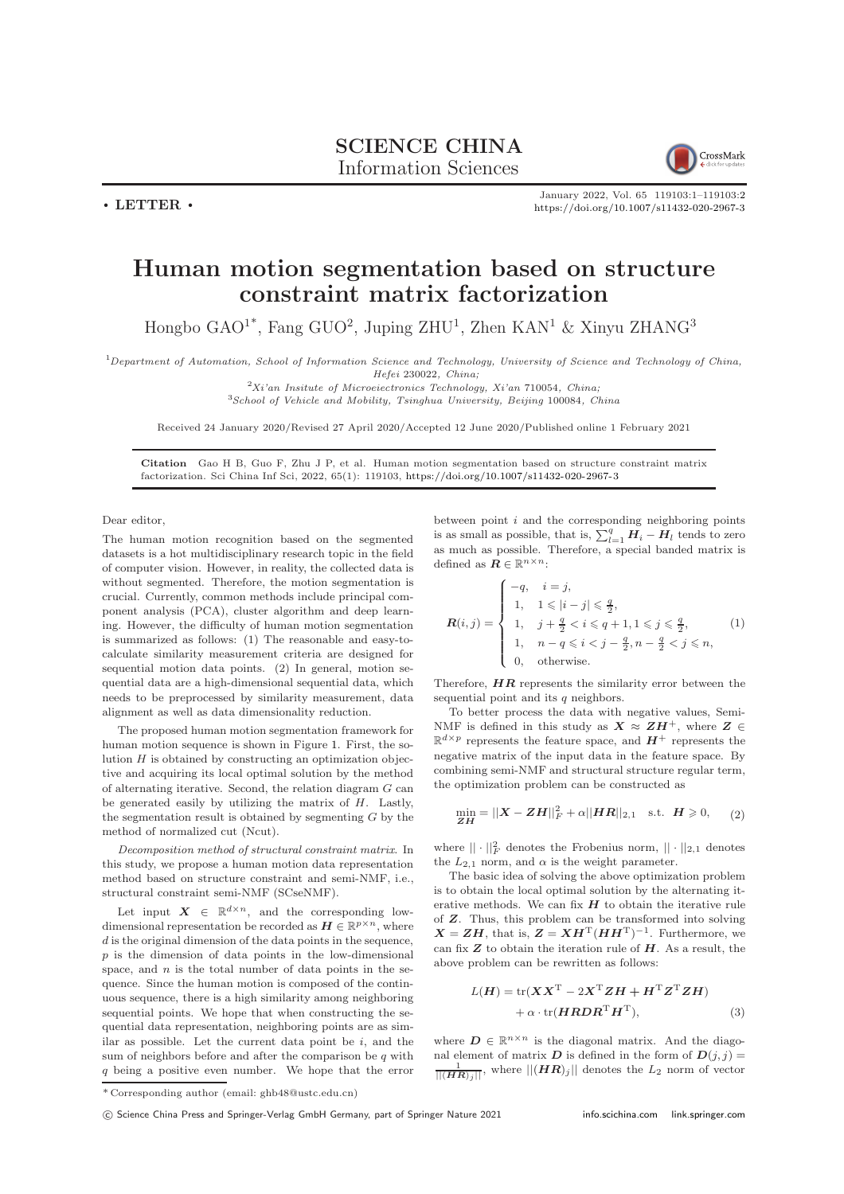## SCIENCE CHINA Information Sciences



January 2022, Vol. 65 119103:1–119103[:2](#page-1-0) <https://doi.org/10.1007/s11432-020-2967-3>

## Human motion segmentation based on structure constraint matrix factorization

Hongbo  $\text{GAO}^{1*}$ , Fang  $\text{GUO}^2$ , Juping  $\text{ZHU}^1$ , Zhen  $\text{KAN}^1$  & Xinyu  $\text{ZHANG}^3$ 

 $1$ Department of Automation, School of Information Science and Technology, University of Science and Technology of China, Hefei 230022, China;

 $2Xi'$ ian Insitute of Microeiectronics Technology, Xi'an 710054, China; <sup>3</sup>School of Vehicle and Mobility, Tsinghua University, Beijing 100084, China

Received 24 January 2020/Revised 27 April 2020/Accepted 12 June 2020/Published online 1 February 2021

Citation Gao H B, Guo F, Zhu J P, et al. Human motion segmentation based on structure constraint matrix factorization. Sci China Inf Sci, 2022, 65(1): 119103, <https://doi.org/10.1007/s11432-020-2967-3>

Dear editor,

 $\cdot$  LETTER  $\cdot$ 

The human motion recognition based on the segmented datasets is a hot multidisciplinary research topic in the field of computer vision. However, in reality, the collected data is without segmented. Therefore, the motion segmentation is crucial. Currently, common methods include principal component analysis (PCA), cluster algorithm and deep learning. However, the difficulty of human motion segmentation is summarized as follows: (1) The reasonable and easy-tocalculate similarity measurement criteria are designed for sequential motion data points. (2) In general, motion sequential data are a high-dimensional sequential data, which needs to be preprocessed by similarity measurement, data alignment as well as data dimensionality reduction.

The proposed human motion segmentation framework for human motion sequence is shown in Figure [1.](#page-1-1) First, the solution  $H$  is obtained by constructing an optimization objective and acquiring its local optimal solution by the method of alternating iterative. Second, the relation diagram G can be generated easily by utilizing the matrix of  $H$ . Lastly, the segmentation result is obtained by segmenting  $G$  by the method of normalized cut (Ncut).

Decomposition method of structural constraint matrix. In this study, we propose a human motion data representation method based on structure constraint and semi-NMF, i.e., structural constraint semi-NMF (SCseNMF).

Let input  $X \in \mathbb{R}^{d \times n}$ , and the corresponding lowdimensional representation be recorded as  $\mathbf{H} \in \mathbb{R}^{p \times n}$ , where  $d$  is the original dimension of the data points in the sequence,  $p$  is the dimension of data points in the low-dimensional space, and  $n$  is the total number of data points in the sequence. Since the human motion is composed of the continuous sequence, there is a high similarity among neighboring sequential points. We hope that when constructing the sequential data representation, neighboring points are as similar as possible. Let the current data point be  $i$ , and the sum of neighbors before and after the comparison be  $q$  with q being a positive even number. We hope that the error

between point  $i$  and the corresponding neighboring points is as small as possible, that is,  $\sum_{l=1}^{q} H_i - H_l$  tends to zero as much as possible. Therefore, a special banded matrix is defined as  $\boldsymbol{R} \in \mathbb{R}^{n \times n}$  :

$$
\mathbf{R}(i,j) = \begin{cases}\n-q, & i = j, \\
1, & 1 \leq |i-j| \leq \frac{q}{2}, \\
1, & j + \frac{q}{2} < i \leq q+1, 1 \leq j \leq \frac{q}{2}, \\
1, & n - q \leq i < j - \frac{q}{2}, n - \frac{q}{2} < j \leq n, \\
0, & \text{otherwise.} \n\end{cases}
$$
\n(1)

Therefore,  $HR$  represents the similarity error between the sequential point and its  $q$  neighbors.

To better process the data with negative values, Semi-NMF is defined in this study as  $X \approx ZH^+$ , where  $Z \in$  $\mathbb{R}^{d \times p}$  represents the feature space, and  $H^+$  represents the negative matrix of the input data in the feature space. By combining semi-NMF and structural structure regular term, the optimization problem can be constructed as

$$
\min_{\mathbf{ZH}} = ||\mathbf{X} - \mathbf{ZH}||_F^2 + \alpha ||\mathbf{H}\mathbf{R}||_{2,1} \text{ s.t. } \mathbf{H} \ge 0,
$$
 (2)

where  $|| \cdot ||_F^2$  denotes the Frobenius norm,  $|| \cdot ||_{2,1}$  denotes the  $L_{2,1}$  norm, and  $\alpha$  is the weight parameter.

The basic idea of solving the above optimization problem is to obtain the local optimal solution by the alternating iterative methods. We can fix  $H$  to obtain the iterative rule of Z. Thus, this problem can be transformed into solving  $X = ZH$ , that is,  $Z = XH^{T}(HH^{T})^{-1}$ . Furthermore, we can fix  $Z$  to obtain the iteration rule of  $H$ . As a result, the above problem can be rewritten as follows:

$$
L(H) = \text{tr}(\boldsymbol{X}\boldsymbol{X}^{\text{T}} - 2\boldsymbol{X}^{\text{T}}\boldsymbol{Z}\boldsymbol{H} + \boldsymbol{H}^{\text{T}}\boldsymbol{Z}^{\text{T}}\boldsymbol{Z}\boldsymbol{H})
$$

$$
+ \alpha \cdot \text{tr}(\boldsymbol{H}\boldsymbol{R}\boldsymbol{D}\boldsymbol{R}^{\text{T}}\boldsymbol{H}^{\text{T}}),
$$
(3)

where  $\mathbf{D} \in \mathbb{R}^{n \times n}$  is the diagonal matrix. And the diagonal element of matrix  $\boldsymbol{D}$  is defined in the form of  $\boldsymbol{D}(j, j) =$  $\frac{1}{||(\boldsymbol{H}\boldsymbol{R})_j||}$ , where  $||(\boldsymbol{H}\boldsymbol{R})_j||$  denotes the  $L_2$  norm of vector

<sup>\*</sup> Corresponding author (email: ghb48@ustc.edu.cn)

c Science China Press and Springer-Verlag GmbH Germany, part of Springer Nature 2021 <info.scichina.com><link.springer.com>